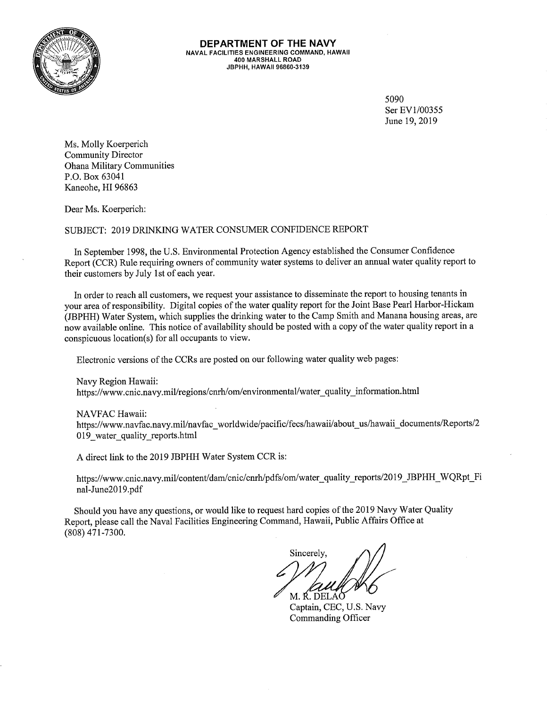

DEPARTMENT OF THE NAVY **NAVAL FACILITIES ENGINEERING COMMAND, HAWAII** 400 MARSHALL ROAD JBPHH. HAWAII 96860-3139

> 5090 Ser EV1/00355 June 19, 2019

Ms. Molly Koerperich **Community Director Ohana Military Communities** P.O. Box 63041 Kaneohe, HI 96863

Dear Ms. Koerperich:

SUBJECT: 2019 DRINKING WATER CONSUMER CONFIDENCE REPORT

In September 1998, the U.S. Environmental Protection Agency established the Consumer Confidence Report (CCR) Rule requiring owners of community water systems to deliver an annual water quality report to their customers by July 1st of each year.

In order to reach all customers, we request your assistance to disseminate the report to housing tenants in your area of responsibility. Digital copies of the water quality report for the Joint Base Pearl Harbor-Hickam (JBPHH) Water System, which supplies the drinking water to the Camp Smith and Manana housing areas, are now available online. This notice of availability should be posted with a copy of the water quality report in a conspicuous location(s) for all occupants to view.

Electronic versions of the CCRs are posted on our following water quality web pages:

Navy Region Hawaii:

https://www.cnic.navy.mil/regions/cnrh/om/environmental/water quality information.html

NAVFAC Hawaii:

https://www.navfac.navy.mil/navfac\_worldwide/pacific/fecs/hawaii/about\_us/hawaii\_documents/Reports/2 019 water quality reports.html

A direct link to the 2019 JBPHH Water System CCR is:

https://www.cnic.navy.mil/content/dam/cnic/cnrh/pdfs/om/water quality\_reports/2019 JBPHH WQRpt Fi nal-June2019.pdf

Should you have any questions, or would like to request hard copies of the 2019 Navy Water Quality Report, please call the Naval Facilities Engineering Command, Hawaii, Public Affairs Office at  $(808)$  471-7300.

Sincerely. M. Ř. DELAČ

Captain, CEC, U.S. Navy Commanding Officer